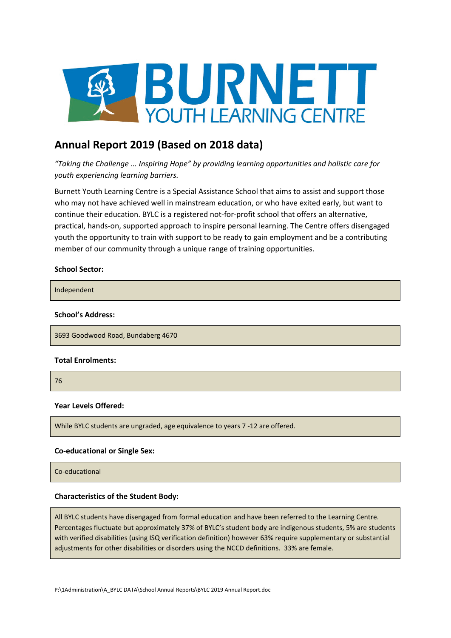

# **Annual Report 2019 (Based on 2018 data)**

*"Taking the Challenge ... Inspiring Hope" by providing learning opportunities and holistic care for youth experiencing learning barriers.*

Burnett Youth Learning Centre is a Special Assistance School that aims to assist and support those who may not have achieved well in mainstream education, or who have exited early, but want to continue their education. BYLC is a registered not-for-profit school that offers an alternative, practical, hands-on, supported approach to inspire personal learning. The Centre offers disengaged youth the opportunity to train with support to be ready to gain employment and be a contributing member of our community through a unique range of training opportunities.

### **School Sector:**

Independent

### **School's Address:**

3693 Goodwood Road, Bundaberg 4670

### **Total Enrolments:**

76

## **Year Levels Offered:**

While BYLC students are ungraded, age equivalence to years 7 -12 are offered.

## **Co-educational or Single Sex:**

Co-educational

### **Characteristics of the Student Body:**

All BYLC students have disengaged from formal education and have been referred to the Learning Centre. Percentages fluctuate but approximately 37% of BYLC's student body are indigenous students, 5% are students with verified disabilities (using ISQ verification definition) however 63% require supplementary or substantial adjustments for other disabilities or disorders using the NCCD definitions. 33% are female.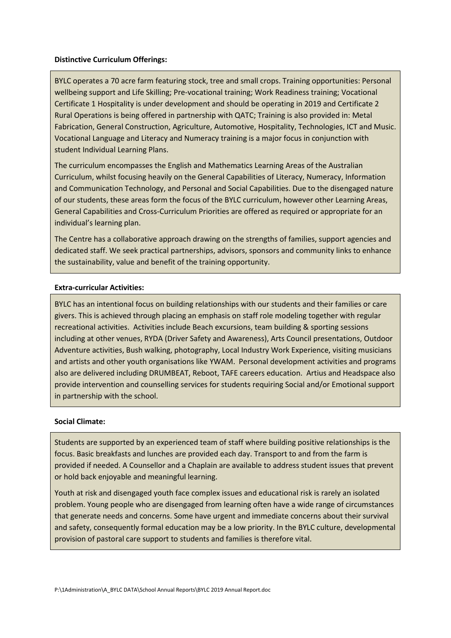### **Distinctive Curriculum Offerings:**

BYLC operates a 70 acre farm featuring stock, tree and small crops. Training opportunities: Personal wellbeing support and Life Skilling; Pre-vocational training; Work Readiness training; Vocational Certificate 1 Hospitality is under development and should be operating in 2019 and Certificate 2 Rural Operations is being offered in partnership with QATC; Training is also provided in: Metal Fabrication, General Construction, Agriculture, Automotive, Hospitality, Technologies, ICT and Music. Vocational Language and Literacy and Numeracy training is a major focus in conjunction with student Individual Learning Plans.

The curriculum encompasses the English and Mathematics Learning Areas of the Australian Curriculum, whilst focusing heavily on the General Capabilities of Literacy, Numeracy, Information and Communication Technology, and Personal and Social Capabilities. Due to the disengaged nature of our students, these areas form the focus of the BYLC curriculum, however other Learning Areas, General Capabilities and Cross-Curriculum Priorities are offered as required or appropriate for an individual's learning plan.

The Centre has a collaborative approach drawing on the strengths of families, support agencies and dedicated staff. We seek practical partnerships, advisors, sponsors and community links to enhance the sustainability, value and benefit of the training opportunity.

### **Extra-curricular Activities:**

BYLC has an intentional focus on building relationships with our students and their families or care givers. This is achieved through placing an emphasis on staff role modeling together with regular recreational activities. Activities include Beach excursions, team building & sporting sessions including at other venues, RYDA (Driver Safety and Awareness), Arts Council presentations, Outdoor Adventure activities, Bush walking, photography, Local Industry Work Experience, visiting musicians and artists and other youth organisations like YWAM. Personal development activities and programs also are delivered including DRUMBEAT, Reboot, TAFE careers education. Artius and Headspace also provide intervention and counselling services for students requiring Social and/or Emotional support in partnership with the school.

### **Social Climate:**

Students are supported by an experienced team of staff where building positive relationships is the focus. Basic breakfasts and lunches are provided each day. Transport to and from the farm is provided if needed. A Counsellor and a Chaplain are available to address student issues that prevent or hold back enjoyable and meaningful learning.

Youth at risk and disengaged youth face complex issues and educational risk is rarely an isolated problem. Young people who are disengaged from learning often have a wide range of circumstances that generate needs and concerns. Some have urgent and immediate concerns about their survival and safety, consequently formal education may be a low priority. In the BYLC culture, developmental provision of pastoral care support to students and families is therefore vital.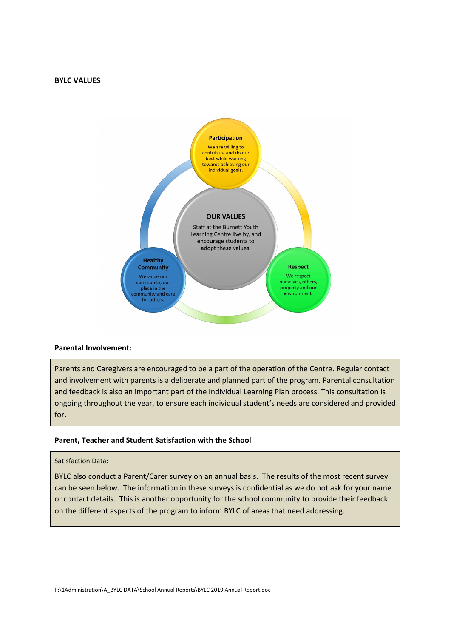#### **BYLC VALUES**



### **Parental Involvement:**

Parents and Caregivers are encouraged to be a part of the operation of the Centre. Regular contact and involvement with parents is a deliberate and planned part of the program. Parental consultation and feedback is also an important part of the Individual Learning Plan process. This consultation is ongoing throughout the year, to ensure each individual student's needs are considered and provided for.

#### **Parent, Teacher and Student Satisfaction with the School**

### Satisfaction Data:

BYLC also conduct a Parent/Carer survey on an annual basis. The results of the most recent survey can be seen below. The information in these surveys is confidential as we do not ask for your name or contact details. This is another opportunity for the school community to provide their feedback on the different aspects of the program to inform BYLC of areas that need addressing.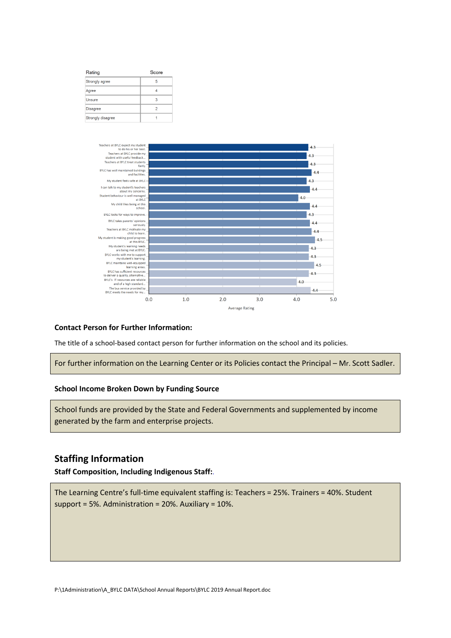| Rating            | Score |
|-------------------|-------|
| Strongly agree    | 5     |
| Agree             |       |
| <b>Unsure</b>     | 3     |
| <b>Disagree</b>   | 2     |
| Strongly disagree |       |



### **Contact Person for Further Information:**

The title of a school-based contact person for further information on the school and its policies.

For further information on the Learning Center or its Policies contact the Principal – Mr. Scott Sadler.

#### **School Income Broken Down by Funding Source**

School funds are provided by the State and Federal Governments and supplemented by income generated by the farm and enterprise projects.

## **Staffing Information**

**Staff Composition, Including Indigenous Staff:**.

The Learning Centre's full-time equivalent staffing is: Teachers = 25%. Trainers = 40%. Student support = 5%. Administration = 20%. Auxiliary = 10%.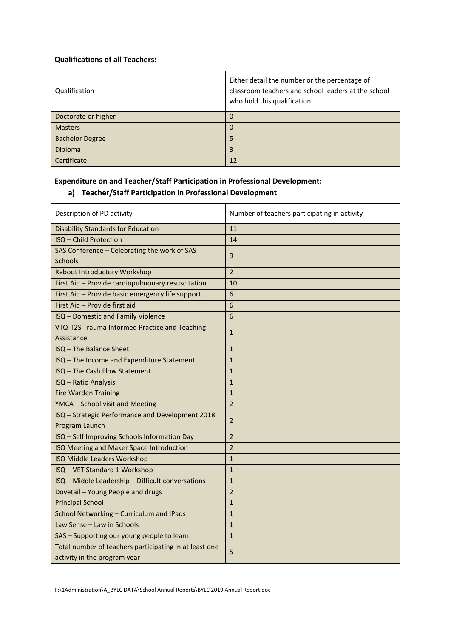## **Qualifications of all Teachers:**

| Qualification          | Either detail the number or the percentage of<br>classroom teachers and school leaders at the school<br>who hold this qualification |
|------------------------|-------------------------------------------------------------------------------------------------------------------------------------|
| Doctorate or higher    | Ü                                                                                                                                   |
| <b>Masters</b>         |                                                                                                                                     |
| <b>Bachelor Degree</b> |                                                                                                                                     |
| Diploma                | 3                                                                                                                                   |
| Certificate            | 12                                                                                                                                  |

## **Expenditure on and Teacher/Staff Participation in Professional Development:**

## **a) Teacher/Staff Participation in Professional Development**

| Description of PD activity                             | Number of teachers participating in activity |
|--------------------------------------------------------|----------------------------------------------|
| <b>Disability Standards for Education</b>              | 11                                           |
| ISQ - Child Protection                                 | 14                                           |
| SAS Conference - Celebrating the work of SAS           | 9                                            |
| <b>Schools</b>                                         |                                              |
| <b>Reboot Introductory Workshop</b>                    | $\overline{2}$                               |
| First Aid - Provide cardiopulmonary resuscitation      | 10                                           |
| First Aid - Provide basic emergency life support       | 6                                            |
| First Aid - Provide first aid                          | 6                                            |
| ISQ - Domestic and Family Violence                     | 6                                            |
| VTQ-T2S Trauma Informed Practice and Teaching          | $\mathbf{1}$                                 |
| Assistance                                             |                                              |
| ISQ - The Balance Sheet                                | $\mathbf{1}$                                 |
| ISQ - The Income and Expenditure Statement             | $\mathbf{1}$                                 |
| ISQ - The Cash Flow Statement                          | $\mathbf{1}$                                 |
| <b>ISQ - Ratio Analysis</b>                            | $\mathbf{1}$                                 |
| <b>Fire Warden Training</b>                            | $\mathbf{1}$                                 |
| YMCA - School visit and Meeting                        | $\overline{2}$                               |
| ISQ - Strategic Performance and Development 2018       | $\overline{2}$                               |
| Program Launch                                         |                                              |
| ISQ - Self Improving Schools Information Day           | $\overline{2}$                               |
| ISQ Meeting and Maker Space Introduction               | $\overline{2}$                               |
| ISQ Middle Leaders Workshop                            | $\mathbf{1}$                                 |
| ISQ - VET Standard 1 Workshop                          | $\mathbf{1}$                                 |
| ISQ - Middle Leadership - Difficult conversations      | $\mathbf{1}$                                 |
| Dovetail - Young People and drugs                      | $\overline{2}$                               |
| <b>Principal School</b>                                | $\mathbf{1}$                                 |
| School Networking - Curriculum and IPads               | $\mathbf{1}$                                 |
| Law Sense - Law in Schools                             | $\mathbf{1}$                                 |
| SAS - Supporting our young people to learn             | $\mathbf{1}$                                 |
| Total number of teachers participating in at least one | 5                                            |
| activity in the program year                           |                                              |

P:\1Administration\A\_BYLC DATA\School Annual Reports\BYLC 2019 Annual Report.doc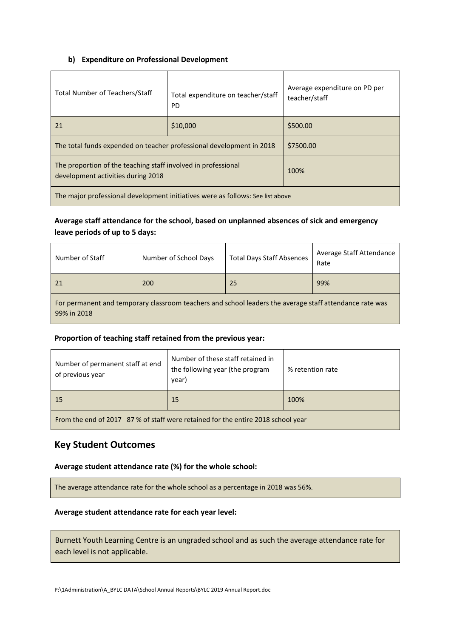## **b) Expenditure on Professional Development**

| Total Number of Teachers/Staff                                                                      | Total expenditure on teacher/staff<br><b>PD</b> | Average expenditure on PD per<br>teacher/staff |
|-----------------------------------------------------------------------------------------------------|-------------------------------------------------|------------------------------------------------|
| 21                                                                                                  | \$10,000                                        | \$500.00                                       |
| The total funds expended on teacher professional development in 2018                                |                                                 | \$7500.00                                      |
| The proportion of the teaching staff involved in professional<br>development activities during 2018 |                                                 | 100%                                           |
| The major professional development initiatives were as follows: See list above                      |                                                 |                                                |

## **Average staff attendance for the school, based on unplanned absences of sick and emergency leave periods of up to 5 days:**

| Number of Staff                                                                                                        | Number of School Days | <b>Total Days Staff Absences</b> | Average Staff Attendance<br>Rate |
|------------------------------------------------------------------------------------------------------------------------|-----------------------|----------------------------------|----------------------------------|
| 21                                                                                                                     | 200                   | 25                               | 99%                              |
| For permanent and temporary classroom teachers and school leaders the average staff attendance rate was<br>99% in 2018 |                       |                                  |                                  |

## **Proportion of teaching staff retained from the previous year:**

| Number of permanent staff at end<br>of previous year                                          | Number of these staff retained in<br>the following year (the program<br>year) | % retention rate |
|-----------------------------------------------------------------------------------------------|-------------------------------------------------------------------------------|------------------|
| <sup>15</sup>                                                                                 | 15                                                                            | 100%             |
| From the end of $2047$ , $070/$ of the ffusion interactional funther contact 2040 solventions |                                                                               |                  |

From the end of 2017 87 % of staff were retained for the entire 2018 school year

## **Key Student Outcomes**

## **Average student attendance rate (%) for the whole school:**

The average attendance rate for the whole school as a percentage in 2018 was 56%.

## **Average student attendance rate for each year level:**

Burnett Youth Learning Centre is an ungraded school and as such the average attendance rate for each level is not applicable.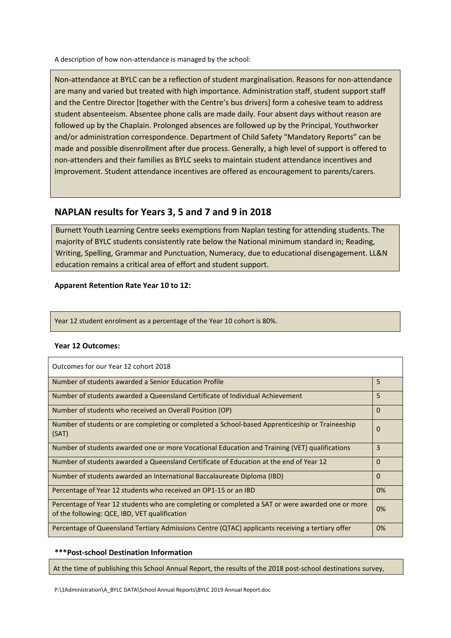A description of how non-attendance is managed by the school:

Non-attendance at BYLC can be a reflection of student marginalisation. Reasons for non-attendance are many and varied but treated with high importance. Administration staff, student support staff and the Centre Director [together with the Centre's bus drivers] form a cohesive team to address student absenteeism. Absentee phone calls are made daily. Four absent days without reason are followed up by the Chaplain. Prolonged absences are followed up by the Principal, Youthworker and/or administration correspondence. Department of Child Safety "Mandatory Reports" can be made and possible disenrollment after due process. Generally, a high level of support is offered to non-attenders and their families as BYLC seeks to maintain student attendance incentives and improvement. Student attendance incentives are offered as encouragement to parents/carers.

## **NAPLAN results for Years 3, 5 and 7 and 9 in 2018**

Burnett Youth Learning Centre seeks exemptions from Naplan testing for attending students. The majority of BYLC students consistently rate below the National minimum standard in; Reading, Writing, Spelling, Grammar and Punctuation, Numeracy, due to educational disengagement. LL&N education remains a critical area of effort and student support.

## **Apparent Retention Rate Year 10 to 12:**

Year 12 student enrolment as a percentage of the Year 10 cohort is 80%.

## **Year 12 Outcomes:**

| Outcomes for our Year 12 cohort 2018                                                                                                              |          |
|---------------------------------------------------------------------------------------------------------------------------------------------------|----------|
| Number of students awarded a Senior Education Profile                                                                                             | 5        |
| Number of students awarded a Queensland Certificate of Individual Achievement                                                                     | 5        |
| Number of students who received an Overall Position (OP)                                                                                          | $\Omega$ |
| Number of students or are completing or completed a School-based Apprenticeship or Traineeship<br>(SAT)                                           | 0        |
| Number of students awarded one or more Vocational Education and Training (VET) qualifications                                                     | 3        |
| Number of students awarded a Queensland Certificate of Education at the end of Year 12                                                            | 0        |
| Number of students awarded an International Baccalaureate Diploma (IBD)                                                                           | $\Omega$ |
| Percentage of Year 12 students who received an OP1-15 or an IBD                                                                                   | 0%       |
| Percentage of Year 12 students who are completing or completed a SAT or were awarded one or more<br>of the following: QCE, IBD, VET qualification | 0%       |
| Percentage of Queensland Tertiary Admissions Centre (QTAC) applicants receiving a tertiary offer                                                  | 0%       |

## **\*\*\*Post-school Destination Information**

At the time of publishing this School Annual Report, the results of the 2018 post-school destinations survey,

P:\1Administration\A\_BYLC DATA\School Annual Reports\BYLC 2019 Annual Report.doc